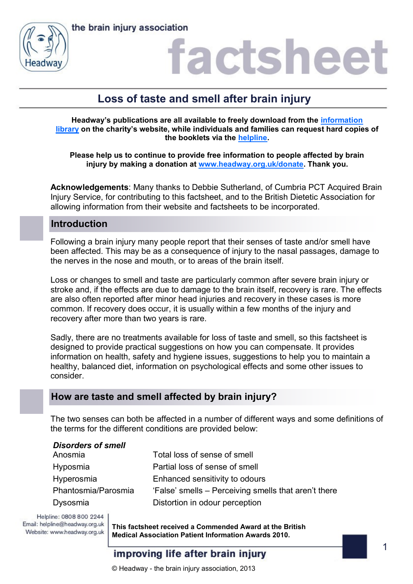



### factsheet

### **Loss of taste and smell after brain injury**

**Headway's publications are all available to freely download from the [information](https://www.headway.org.uk/about-brain-injury/individuals/information-library/)  [library](https://www.headway.org.uk/about-brain-injury/individuals/information-library/) on the charity's website, while individuals and families can request hard copies of the booklets via the [helpline.](https://www.headway.org.uk/supporting-you/helpline/)**

**Please help us to continue to provide free information to people affected by brain injury by making a donation at [www.headway.org.uk/donate.](http://www.headway.org.uk/donate) Thank you.**

**Acknowledgements**: Many thanks to Debbie Sutherland, of Cumbria PCT Acquired Brain Injury Service, for contributing to this factsheet, and to the British Dietetic Association for allowing information from their website and factsheets to be incorporated.

#### **Introduction**

Following a brain injury many people report that their senses of taste and/or smell have been affected. This may be as a consequence of injury to the nasal passages, damage to the nerves in the nose and mouth, or to areas of the brain itself.

Loss or changes to smell and taste are particularly common after severe brain injury or stroke and, if the effects are due to damage to the brain itself, recovery is rare. The effects are also often reported after minor head injuries and recovery in these cases is more common. If recovery does occur, it is usually within a few months of the injury and recovery after more than two years is rare.

Sadly, there are no treatments available for loss of taste and smell, so this factsheet is designed to provide practical suggestions on how you can compensate. It provides information on health, safety and hygiene issues, suggestions to help you to maintain a healthy, balanced diet, information on psychological effects and some other issues to consider.

#### **How are taste and smell affected by brain injury?**

The two senses can both be affected in a number of different ways and some definitions of the terms for the different conditions are provided below:

| <b>Disorders of smell</b> |                                                      |
|---------------------------|------------------------------------------------------|
| Anosmia                   | Total loss of sense of smell                         |
| Hyposmia                  | Partial loss of sense of smell                       |
| Hyperosmia                | Enhanced sensitivity to odours                       |
| Phantosmia/Parosmia       | 'False' smells – Perceiving smells that aren't there |
| Dysosmia                  | Distortion in odour perception                       |

Helpline: 0808 800 2244 Email: helpline@headway.org.uk Website: www.headway.org.uk

**This factsheet received a Commended Award at the British Medical Association Patient Information Awards 2010.** 

#### improving life after brain injury

© Headway - the brain injury association, 2013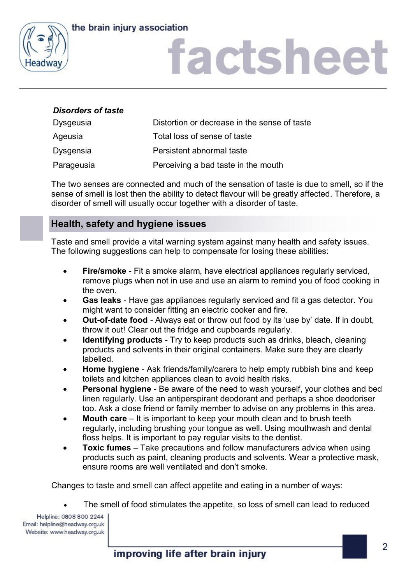

# factsheet

#### *Disorders of taste*

| <b>Dysgeusia</b> | Distortion or decrease in the sense of taste |
|------------------|----------------------------------------------|
| Ageusia          | Total loss of sense of taste                 |
| <b>Dysgensia</b> | Persistent abnormal taste                    |
| Parageusia       | Perceiving a bad taste in the mouth          |

The two senses are connected and much of the sensation of taste is due to smell, so if the sense of smell is lost then the ability to detect flavour will be greatly affected. Therefore, a disorder of smell will usually occur together with a disorder of taste.

#### **Health, safety and hygiene issues**

Taste and smell provide a vital warning system against many health and safety issues. The following suggestions can help to compensate for losing these abilities:

- **Fire/smoke** Fit a smoke alarm, have electrical appliances regularly serviced, remove plugs when not in use and use an alarm to remind you of food cooking in the oven.
- **Gas leaks** Have gas appliances regularly serviced and fit a gas detector. You might want to consider fitting an electric cooker and fire.
- **Out-of-date food** Always eat or throw out food by its 'use by' date. If in doubt, throw it out! Clear out the fridge and cupboards regularly.
- **Identifying products** Try to keep products such as drinks, bleach, cleaning products and solvents in their original containers. Make sure they are clearly labelled.
- **Home hygiene** Ask friends/family/carers to help empty rubbish bins and keep toilets and kitchen appliances clean to avoid health risks.
- **Personal hygiene** Be aware of the need to wash yourself, your clothes and bed linen regularly. Use an antiperspirant deodorant and perhaps a shoe deodoriser too. Ask a close friend or family member to advise on any problems in this area.
- **Mouth care** It is important to keep your mouth clean and to brush teeth regularly, including brushing your tongue as well. Using mouthwash and dental floss helps. It is important to pay regular visits to the dentist.
- **Toxic fumes** Take precautions and follow manufacturers advice when using products such as paint, cleaning products and solvents. Wear a protective mask, ensure rooms are well ventilated and don't smoke.

Changes to taste and smell can affect appetite and eating in a number of ways:

The smell of food stimulates the appetite, so loss of smell can lead to reduced

Helpline: 0808 800 2244 Email: helpline@headway.org.uk Website: www.headway.org.uk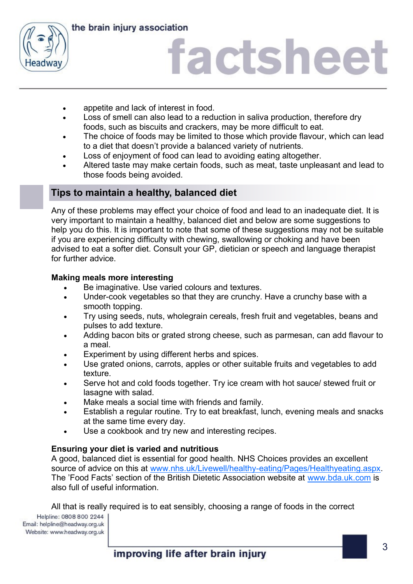

# factsheet

- appetite and lack of interest in food.
- Loss of smell can also lead to a reduction in saliva production, therefore dry foods, such as biscuits and crackers, may be more difficult to eat.
- The choice of foods may be limited to those which provide flavour, which can lead to a diet that doesn't provide a balanced variety of nutrients.
- Loss of enjoyment of food can lead to avoiding eating altogether.
- Altered taste may make certain foods, such as meat, taste unpleasant and lead to those foods being avoided.

#### **Tips to maintain a healthy, balanced diet**

Any of these problems may effect your choice of food and lead to an inadequate diet. It is very important to maintain a healthy, balanced diet and below are some suggestions to help you do this. It is important to note that some of these suggestions may not be suitable if you are experiencing difficulty with chewing, swallowing or choking and have been advised to eat a softer diet. Consult your GP, dietician or speech and language therapist for further advice.

#### **Making meals more interesting**

- Be imaginative. Use varied colours and textures.
- Under-cook vegetables so that they are crunchy. Have a crunchy base with a smooth topping.
- Try using seeds, nuts, wholegrain cereals, fresh fruit and vegetables, beans and pulses to add texture.
- Adding bacon bits or grated strong cheese, such as parmesan, can add flavour to a meal.
- Experiment by using different herbs and spices.
- Use grated onions, carrots, apples or other suitable fruits and vegetables to add texture.
- Serve hot and cold foods together. Try ice cream with hot sauce/ stewed fruit or lasagne with salad.
- Make meals a social time with friends and family.
- Establish a regular routine. Try to eat breakfast, lunch, evening meals and snacks at the same time every day.
- Use a cookbook and try new and interesting recipes.

#### **Ensuring your diet is varied and nutritious**

A good, balanced diet is essential for good health. NHS Choices provides an excellent source of advice on this at [www.nhs.uk/Livewell/healthy-eating/Pages/Healthyeating.aspx.](http://www.nhs.uk/Livewell/healthy-eating/Pages/Healthyeating.aspx) The 'Food Facts' section of the British Dietetic Association website at [www.bda.uk.com](http://www.bda.uk.com) is also full of useful information.

All that is really required is to eat sensibly, choosing a range of foods in the correct

Helpline: 0808 800 2244 Email: helpline@headway.org.uk Website: www.headway.org.uk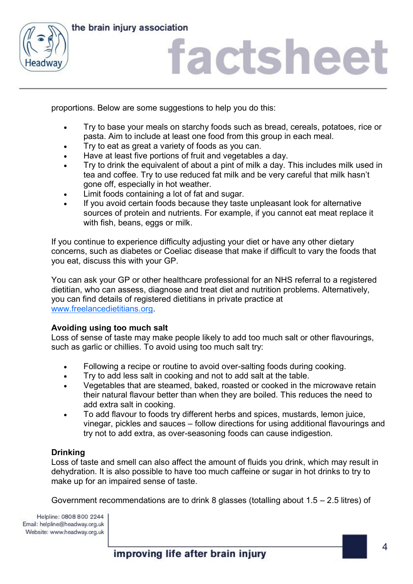

## factsheet

proportions. Below are some suggestions to help you do this:

- Try to base your meals on starchy foods such as bread, cereals, potatoes, rice or pasta. Aim to include at least one food from this group in each meal.
- Try to eat as great a variety of foods as you can.
- Have at least five portions of fruit and vegetables a day.
- Try to drink the equivalent of about a pint of milk a day. This includes milk used in tea and coffee. Try to use reduced fat milk and be very careful that milk hasn't gone off, especially in hot weather.
- Limit foods containing a lot of fat and sugar.
- If you avoid certain foods because they taste unpleasant look for alternative sources of protein and nutrients. For example, if you cannot eat meat replace it with fish, beans, eggs or milk.

If you continue to experience difficulty adjusting your diet or have any other dietary concerns, such as diabetes or Coeliac disease that make if difficult to vary the foods that you eat, discuss this with your GP.

You can ask your GP or other healthcare professional for an NHS referral to a registered dietitian, who can assess, diagnose and treat diet and nutrition problems. Alternatively, you can find details of registered dietitians in private practice at [www.freelancedietitians.org.](http://www.freelancedietitians.org/)

#### **Avoiding using too much salt**

Loss of sense of taste may make people likely to add too much salt or other flavourings, such as garlic or chillies. To avoid using too much salt try:

- Following a recipe or routine to avoid over-salting foods during cooking.
- Try to add less salt in cooking and not to add salt at the table.
- Vegetables that are steamed, baked, roasted or cooked in the microwave retain their natural flavour better than when they are boiled. This reduces the need to add extra salt in cooking.
- To add flavour to foods try different herbs and spices, mustards, lemon juice, vinegar, pickles and sauces – follow directions for using additional flavourings and try not to add extra, as over-seasoning foods can cause indigestion.

#### **Drinking**

Loss of taste and smell can also affect the amount of fluids you drink, which may result in dehydration. It is also possible to have too much caffeine or sugar in hot drinks to try to make up for an impaired sense of taste.

Government recommendations are to drink 8 glasses (totalling about 1.5 – 2.5 litres) of

Helpline: 0808 800 2244 Email: helpline@headway.org.uk Website: www.headway.org.uk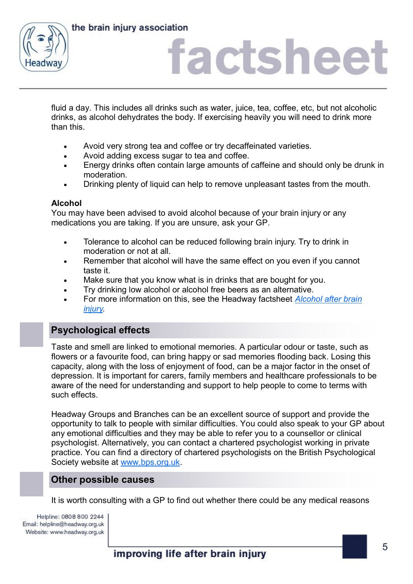



## factsheet

fluid a day. This includes all drinks such as water, juice, tea, coffee, etc, but not alcoholic drinks, as alcohol dehydrates the body. If exercising heavily you will need to drink more than this.

- Avoid very strong tea and coffee or try decaffeinated varieties.
- Avoid adding excess sugar to tea and coffee.
- Energy drinks often contain large amounts of caffeine and should only be drunk in moderation.
- Drinking plenty of liquid can help to remove unpleasant tastes from the mouth.

#### **Alcohol**

You may have been advised to avoid alcohol because of your brain injury or any medications you are taking. If you are unsure, ask your GP.

- Tolerance to alcohol can be reduced following brain injury. Try to drink in moderation or not at all.
- Remember that alcohol will have the same effect on you even if you cannot taste it.
- Make sure that you know what is in drinks that are bought for you.
- Try drinking low alcohol or alcohol free beers as an alternative.
- For more information on this, see the Headway factsheet *[Alcohol after brain](https://www.headway.org.uk/media/5800/alcohol-after-brain-injury-factsheet.pdf)  [injury.](https://www.headway.org.uk/media/5800/alcohol-after-brain-injury-factsheet.pdf)*

#### **Psychological effects**

Taste and smell are linked to emotional memories. A particular odour or taste, such as flowers or a favourite food, can bring happy or sad memories flooding back. Losing this capacity, along with the loss of enjoyment of food, can be a major factor in the onset of depression. It is important for carers, family members and healthcare professionals to be aware of the need for understanding and support to help people to come to terms with such effects.

Headway Groups and Branches can be an excellent source of support and provide the opportunity to talk to people with similar difficulties. You could also speak to your GP about any emotional difficulties and they may be able to refer you to a counsellor or clinical psychologist. Alternatively, you can contact a chartered psychologist working in private practice. You can find a directory of chartered psychologists on the British Psychological Society website at [www.bps.org.uk.](http://www.bps.org.uk)

#### **Other possible causes**

It is worth consulting with a GP to find out whether there could be any medical reasons

Helpline: 0808 800 2244 Email: helpline@headway.org.uk Website: www.headway.org.uk